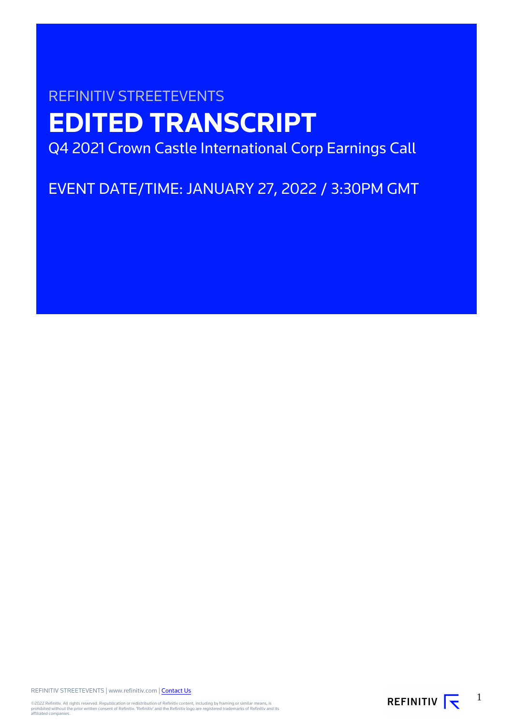# REFINITIV STREETEVENTS **EDITED TRANSCRIPT** Q4 2021 Crown Castle International Corp Earnings Call

EVENT DATE/TIME: JANUARY 27, 2022 / 3:30PM GMT

REFINITIV STREETEVENTS | www.refinitiv.com | Contact Us

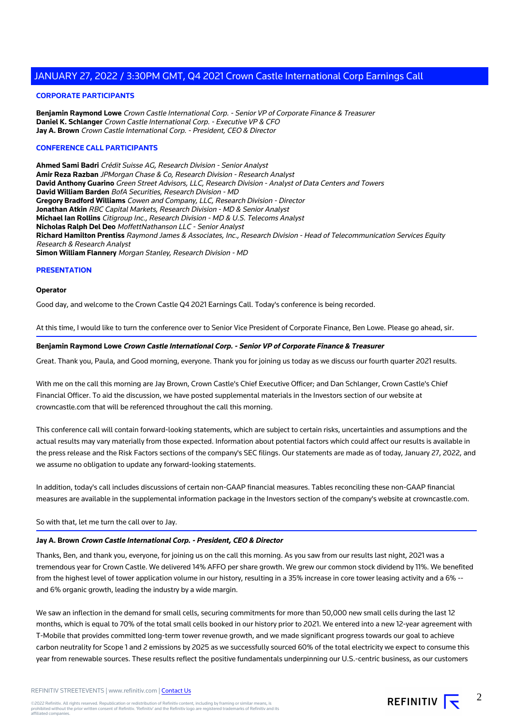#### **CORPORATE PARTICIPANTS**

**Benjamin Raymond Lowe** Crown Castle International Corp. - Senior VP of Corporate Finance & Treasurer **Daniel K. Schlanger** Crown Castle International Corp. - Executive VP & CFO **Jay A. Brown** Crown Castle International Corp. - President, CEO & Director

#### **CONFERENCE CALL PARTICIPANTS**

**Ahmed Sami Badri** Crédit Suisse AG, Research Division - Senior Analyst **Amir Reza Razban** JPMorgan Chase & Co, Research Division - Research Analyst **David Anthony Guarino** Green Street Advisors, LLC, Research Division - Analyst of Data Centers and Towers **David William Barden** BofA Securities, Research Division - MD **Gregory Bradford Williams** Cowen and Company, LLC, Research Division - Director **Jonathan Atkin** RBC Capital Markets, Research Division - MD & Senior Analyst **Michael Ian Rollins** Citigroup Inc., Research Division - MD & U.S. Telecoms Analyst **Nicholas Ralph Del Deo** MoffettNathanson LLC - Senior Analyst **Richard Hamilton Prentiss** Raymond James & Associates, Inc., Research Division - Head of Telecommunication Services Equity Research & Research Analyst **Simon William Flannery** Morgan Stanley, Research Division - MD

#### **PRESENTATION**

#### **Operator**

Good day, and welcome to the Crown Castle Q4 2021 Earnings Call. Today's conference is being recorded.

At this time, I would like to turn the conference over to Senior Vice President of Corporate Finance, Ben Lowe. Please go ahead, sir.

#### **Benjamin Raymond Lowe Crown Castle International Corp. - Senior VP of Corporate Finance & Treasurer**

Great. Thank you, Paula, and Good morning, everyone. Thank you for joining us today as we discuss our fourth quarter 2021 results.

With me on the call this morning are Jay Brown, Crown Castle's Chief Executive Officer; and Dan Schlanger, Crown Castle's Chief Financial Officer. To aid the discussion, we have posted supplemental materials in the Investors section of our website at crowncastle.com that will be referenced throughout the call this morning.

This conference call will contain forward-looking statements, which are subject to certain risks, uncertainties and assumptions and the actual results may vary materially from those expected. Information about potential factors which could affect our results is available in the press release and the Risk Factors sections of the company's SEC filings. Our statements are made as of today, January 27, 2022, and we assume no obligation to update any forward-looking statements.

In addition, today's call includes discussions of certain non-GAAP financial measures. Tables reconciling these non-GAAP financial measures are available in the supplemental information package in the Investors section of the company's website at crowncastle.com.

#### So with that, let me turn the call over to Jay.

#### **Jay A. Brown Crown Castle International Corp. - President, CEO & Director**

Thanks, Ben, and thank you, everyone, for joining us on the call this morning. As you saw from our results last night, 2021 was a tremendous year for Crown Castle. We delivered 14% AFFO per share growth. We grew our common stock dividend by 11%. We benefited from the highest level of tower application volume in our history, resulting in a 35% increase in core tower leasing activity and a 6% - and 6% organic growth, leading the industry by a wide margin.

We saw an inflection in the demand for small cells, securing commitments for more than 50,000 new small cells during the last 12 months, which is equal to 70% of the total small cells booked in our history prior to 2021. We entered into a new 12-year agreement with T-Mobile that provides committed long-term tower revenue growth, and we made significant progress towards our goal to achieve carbon neutrality for Scope 1 and 2 emissions by 2025 as we successfully sourced 60% of the total electricity we expect to consume this year from renewable sources. These results reflect the positive fundamentals underpinning our U.S.-centric business, as our customers

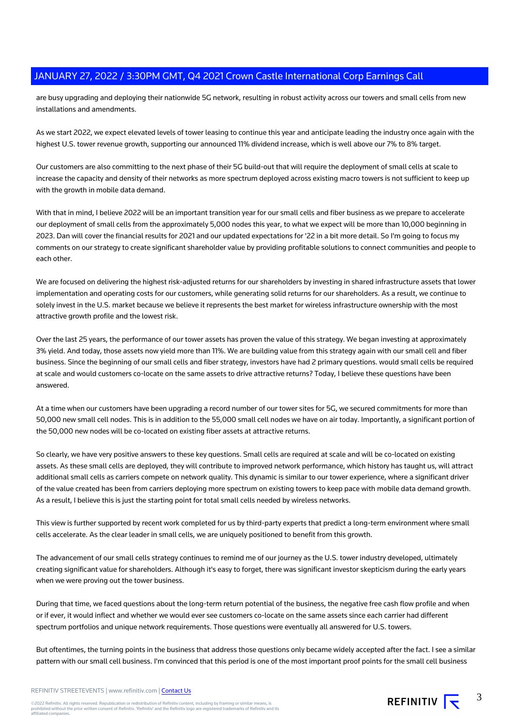are busy upgrading and deploying their nationwide 5G network, resulting in robust activity across our towers and small cells from new installations and amendments.

As we start 2022, we expect elevated levels of tower leasing to continue this year and anticipate leading the industry once again with the highest U.S. tower revenue growth, supporting our announced 11% dividend increase, which is well above our 7% to 8% target.

Our customers are also committing to the next phase of their 5G build-out that will require the deployment of small cells at scale to increase the capacity and density of their networks as more spectrum deployed across existing macro towers is not sufficient to keep up with the growth in mobile data demand.

With that in mind, I believe 2022 will be an important transition year for our small cells and fiber business as we prepare to accelerate our deployment of small cells from the approximately 5,000 nodes this year, to what we expect will be more than 10,000 beginning in 2023. Dan will cover the financial results for 2021 and our updated expectations for '22 in a bit more detail. So I'm going to focus my comments on our strategy to create significant shareholder value by providing profitable solutions to connect communities and people to each other.

We are focused on delivering the highest risk-adjusted returns for our shareholders by investing in shared infrastructure assets that lower implementation and operating costs for our customers, while generating solid returns for our shareholders. As a result, we continue to solely invest in the U.S. market because we believe it represents the best market for wireless infrastructure ownership with the most attractive growth profile and the lowest risk.

Over the last 25 years, the performance of our tower assets has proven the value of this strategy. We began investing at approximately 3% yield. And today, those assets now yield more than 11%. We are building value from this strategy again with our small cell and fiber business. Since the beginning of our small cells and fiber strategy, investors have had 2 primary questions. would small cells be required at scale and would customers co-locate on the same assets to drive attractive returns? Today, I believe these questions have been answered.

At a time when our customers have been upgrading a record number of our tower sites for 5G, we secured commitments for more than 50,000 new small cell nodes. This is in addition to the 55,000 small cell nodes we have on air today. Importantly, a significant portion of the 50,000 new nodes will be co-located on existing fiber assets at attractive returns.

So clearly, we have very positive answers to these key questions. Small cells are required at scale and will be co-located on existing assets. As these small cells are deployed, they will contribute to improved network performance, which history has taught us, will attract additional small cells as carriers compete on network quality. This dynamic is similar to our tower experience, where a significant driver of the value created has been from carriers deploying more spectrum on existing towers to keep pace with mobile data demand growth. As a result, I believe this is just the starting point for total small cells needed by wireless networks.

This view is further supported by recent work completed for us by third-party experts that predict a long-term environment where small cells accelerate. As the clear leader in small cells, we are uniquely positioned to benefit from this growth.

The advancement of our small cells strategy continues to remind me of our journey as the U.S. tower industry developed, ultimately creating significant value for shareholders. Although it's easy to forget, there was significant investor skepticism during the early years when we were proving out the tower business.

During that time, we faced questions about the long-term return potential of the business, the negative free cash flow profile and when or if ever, it would inflect and whether we would ever see customers co-locate on the same assets since each carrier had different spectrum portfolios and unique network requirements. Those questions were eventually all answered for U.S. towers.

But oftentimes, the turning points in the business that address those questions only became widely accepted after the fact. I see a similar pattern with our small cell business. I'm convinced that this period is one of the most important proof points for the small cell business

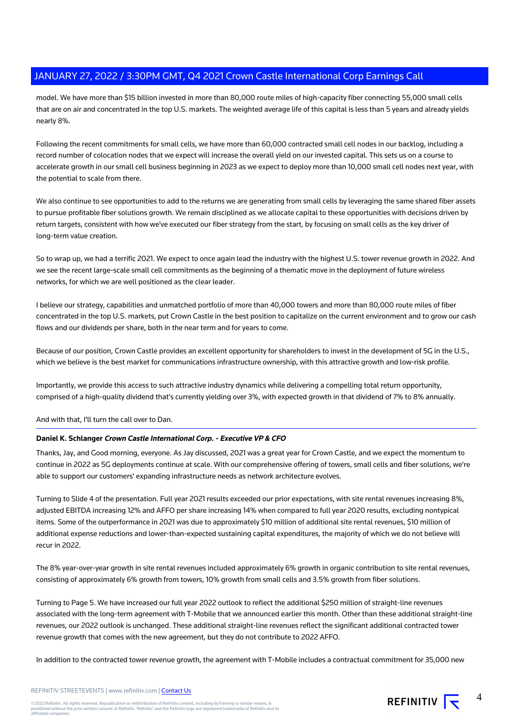model. We have more than \$15 billion invested in more than 80,000 route miles of high-capacity fiber connecting 55,000 small cells that are on air and concentrated in the top U.S. markets. The weighted average life of this capital is less than 5 years and already yields nearly 8%.

Following the recent commitments for small cells, we have more than 60,000 contracted small cell nodes in our backlog, including a record number of colocation nodes that we expect will increase the overall yield on our invested capital. This sets us on a course to accelerate growth in our small cell business beginning in 2023 as we expect to deploy more than 10,000 small cell nodes next year, with the potential to scale from there.

We also continue to see opportunities to add to the returns we are generating from small cells by leveraging the same shared fiber assets to pursue profitable fiber solutions growth. We remain disciplined as we allocate capital to these opportunities with decisions driven by return targets, consistent with how we've executed our fiber strategy from the start, by focusing on small cells as the key driver of long-term value creation.

So to wrap up, we had a terrific 2021. We expect to once again lead the industry with the highest U.S. tower revenue growth in 2022. And we see the recent large-scale small cell commitments as the beginning of a thematic move in the deployment of future wireless networks, for which we are well positioned as the clear leader.

I believe our strategy, capabilities and unmatched portfolio of more than 40,000 towers and more than 80,000 route miles of fiber concentrated in the top U.S. markets, put Crown Castle in the best position to capitalize on the current environment and to grow our cash flows and our dividends per share, both in the near term and for years to come.

Because of our position, Crown Castle provides an excellent opportunity for shareholders to invest in the development of 5G in the U.S., which we believe is the best market for communications infrastructure ownership, with this attractive growth and low-risk profile.

Importantly, we provide this access to such attractive industry dynamics while delivering a compelling total return opportunity, comprised of a high-quality dividend that's currently yielding over 3%, with expected growth in that dividend of 7% to 8% annually.

And with that, I'll turn the call over to Dan.

#### **Daniel K. Schlanger Crown Castle International Corp. - Executive VP & CFO**

Thanks, Jay, and Good morning, everyone. As Jay discussed, 2021 was a great year for Crown Castle, and we expect the momentum to continue in 2022 as 5G deployments continue at scale. With our comprehensive offering of towers, small cells and fiber solutions, we're able to support our customers' expanding infrastructure needs as network architecture evolves.

Turning to Slide 4 of the presentation. Full year 2021 results exceeded our prior expectations, with site rental revenues increasing 8%, adjusted EBITDA increasing 12% and AFFO per share increasing 14% when compared to full year 2020 results, excluding nontypical items. Some of the outperformance in 2021 was due to approximately \$10 million of additional site rental revenues, \$10 million of additional expense reductions and lower-than-expected sustaining capital expenditures, the majority of which we do not believe will recur in 2022.

The 8% year-over-year growth in site rental revenues included approximately 6% growth in organic contribution to site rental revenues, consisting of approximately 6% growth from towers, 10% growth from small cells and 3.5% growth from fiber solutions.

Turning to Page 5. We have increased our full year 2022 outlook to reflect the additional \$250 million of straight-line revenues associated with the long-term agreement with T-Mobile that we announced earlier this month. Other than these additional straight-line revenues, our 2022 outlook is unchanged. These additional straight-line revenues reflect the significant additional contracted tower revenue growth that comes with the new agreement, but they do not contribute to 2022 AFFO.

In addition to the contracted tower revenue growth, the agreement with T-Mobile includes a contractual commitment for 35,000 new

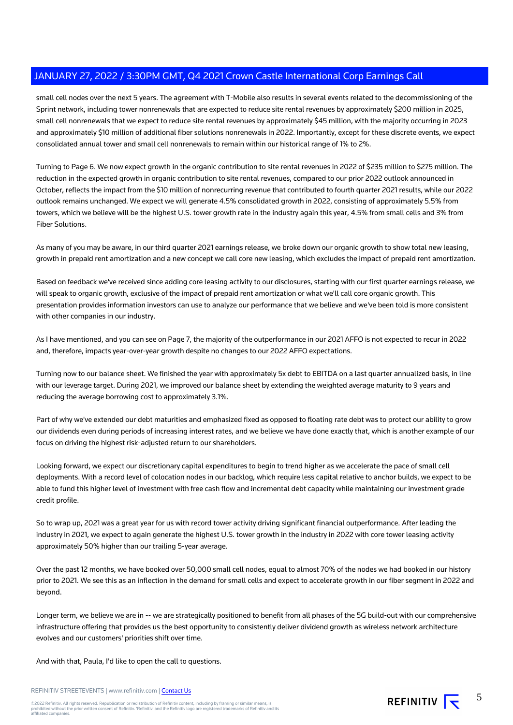small cell nodes over the next 5 years. The agreement with T-Mobile also results in several events related to the decommissioning of the Sprint network, including tower nonrenewals that are expected to reduce site rental revenues by approximately \$200 million in 2025, small cell nonrenewals that we expect to reduce site rental revenues by approximately \$45 million, with the majority occurring in 2023 and approximately \$10 million of additional fiber solutions nonrenewals in 2022. Importantly, except for these discrete events, we expect consolidated annual tower and small cell nonrenewals to remain within our historical range of 1% to 2%.

Turning to Page 6. We now expect growth in the organic contribution to site rental revenues in 2022 of \$235 million to \$275 million. The reduction in the expected growth in organic contribution to site rental revenues, compared to our prior 2022 outlook announced in October, reflects the impact from the \$10 million of nonrecurring revenue that contributed to fourth quarter 2021 results, while our 2022 outlook remains unchanged. We expect we will generate 4.5% consolidated growth in 2022, consisting of approximately 5.5% from towers, which we believe will be the highest U.S. tower growth rate in the industry again this year, 4.5% from small cells and 3% from Fiber Solutions.

As many of you may be aware, in our third quarter 2021 earnings release, we broke down our organic growth to show total new leasing, growth in prepaid rent amortization and a new concept we call core new leasing, which excludes the impact of prepaid rent amortization.

Based on feedback we've received since adding core leasing activity to our disclosures, starting with our first quarter earnings release, we will speak to organic growth, exclusive of the impact of prepaid rent amortization or what we'll call core organic growth. This presentation provides information investors can use to analyze our performance that we believe and we've been told is more consistent with other companies in our industry.

As I have mentioned, and you can see on Page 7, the majority of the outperformance in our 2021 AFFO is not expected to recur in 2022 and, therefore, impacts year-over-year growth despite no changes to our 2022 AFFO expectations.

Turning now to our balance sheet. We finished the year with approximately 5x debt to EBITDA on a last quarter annualized basis, in line with our leverage target. During 2021, we improved our balance sheet by extending the weighted average maturity to 9 years and reducing the average borrowing cost to approximately 3.1%.

Part of why we've extended our debt maturities and emphasized fixed as opposed to floating rate debt was to protect our ability to grow our dividends even during periods of increasing interest rates, and we believe we have done exactly that, which is another example of our focus on driving the highest risk-adjusted return to our shareholders.

Looking forward, we expect our discretionary capital expenditures to begin to trend higher as we accelerate the pace of small cell deployments. With a record level of colocation nodes in our backlog, which require less capital relative to anchor builds, we expect to be able to fund this higher level of investment with free cash flow and incremental debt capacity while maintaining our investment grade credit profile.

So to wrap up, 2021 was a great year for us with record tower activity driving significant financial outperformance. After leading the industry in 2021, we expect to again generate the highest U.S. tower growth in the industry in 2022 with core tower leasing activity approximately 50% higher than our trailing 5-year average.

Over the past 12 months, we have booked over 50,000 small cell nodes, equal to almost 70% of the nodes we had booked in our history prior to 2021. We see this as an inflection in the demand for small cells and expect to accelerate growth in our fiber segment in 2022 and beyond.

Longer term, we believe we are in -- we are strategically positioned to benefit from all phases of the 5G build-out with our comprehensive infrastructure offering that provides us the best opportunity to consistently deliver dividend growth as wireless network architecture evolves and our customers' priorities shift over time.

And with that, Paula, I'd like to open the call to questions.

REFINITIV STREETEVENTS | www.refinitiv.com | Contact Us

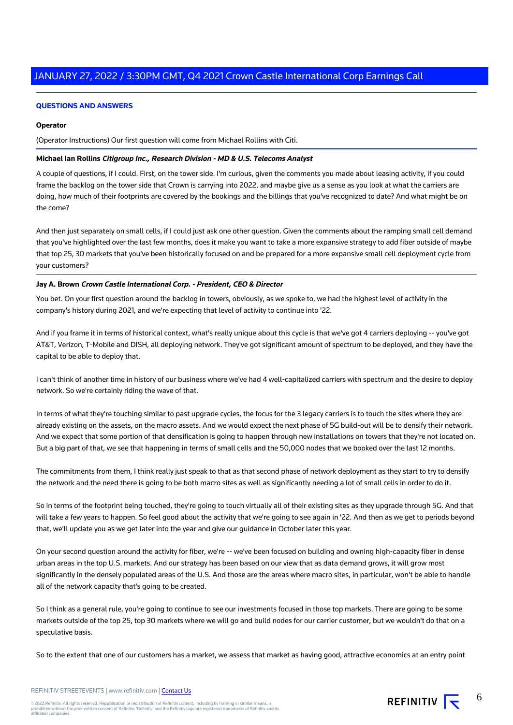#### **QUESTIONS AND ANSWERS**

#### **Operator**

(Operator Instructions) Our first question will come from Michael Rollins with Citi.

#### **Michael Ian Rollins Citigroup Inc., Research Division - MD & U.S. Telecoms Analyst**

A couple of questions, if I could. First, on the tower side. I'm curious, given the comments you made about leasing activity, if you could frame the backlog on the tower side that Crown is carrying into 2022, and maybe give us a sense as you look at what the carriers are doing, how much of their footprints are covered by the bookings and the billings that you've recognized to date? And what might be on the come?

And then just separately on small cells, if I could just ask one other question. Given the comments about the ramping small cell demand that you've highlighted over the last few months, does it make you want to take a more expansive strategy to add fiber outside of maybe that top 25, 30 markets that you've been historically focused on and be prepared for a more expansive small cell deployment cycle from your customers?

#### **Jay A. Brown Crown Castle International Corp. - President, CEO & Director**

You bet. On your first question around the backlog in towers, obviously, as we spoke to, we had the highest level of activity in the company's history during 2021, and we're expecting that level of activity to continue into '22.

And if you frame it in terms of historical context, what's really unique about this cycle is that we've got 4 carriers deploying -- you've got AT&T, Verizon, T-Mobile and DISH, all deploying network. They've got significant amount of spectrum to be deployed, and they have the capital to be able to deploy that.

I can't think of another time in history of our business where we've had 4 well-capitalized carriers with spectrum and the desire to deploy network. So we're certainly riding the wave of that.

In terms of what they're touching similar to past upgrade cycles, the focus for the 3 legacy carriers is to touch the sites where they are already existing on the assets, on the macro assets. And we would expect the next phase of 5G build-out will be to densify their network. And we expect that some portion of that densification is going to happen through new installations on towers that they're not located on. But a big part of that, we see that happening in terms of small cells and the 50,000 nodes that we booked over the last 12 months.

The commitments from them, I think really just speak to that as that second phase of network deployment as they start to try to densify the network and the need there is going to be both macro sites as well as significantly needing a lot of small cells in order to do it.

So in terms of the footprint being touched, they're going to touch virtually all of their existing sites as they upgrade through 5G. And that will take a few years to happen. So feel good about the activity that we're going to see again in '22. And then as we get to periods beyond that, we'll update you as we get later into the year and give our guidance in October later this year.

On your second question around the activity for fiber, we're -- we've been focused on building and owning high-capacity fiber in dense urban areas in the top U.S. markets. And our strategy has been based on our view that as data demand grows, it will grow most significantly in the densely populated areas of the U.S. And those are the areas where macro sites, in particular, won't be able to handle all of the network capacity that's going to be created.

So I think as a general rule, you're going to continue to see our investments focused in those top markets. There are going to be some markets outside of the top 25, top 30 markets where we will go and build nodes for our carrier customer, but we wouldn't do that on a speculative basis.

So to the extent that one of our customers has a market, we assess that market as having good, attractive economics at an entry point

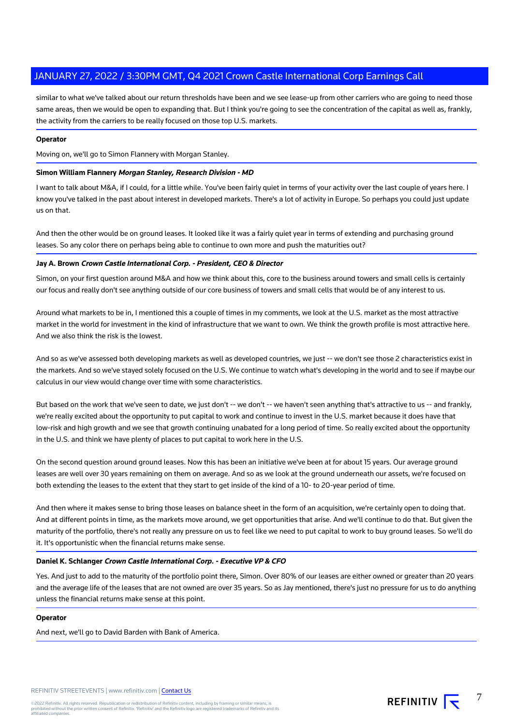similar to what we've talked about our return thresholds have been and we see lease-up from other carriers who are going to need those same areas, then we would be open to expanding that. But I think you're going to see the concentration of the capital as well as, frankly, the activity from the carriers to be really focused on those top U.S. markets.

#### **Operator**

Moving on, we'll go to Simon Flannery with Morgan Stanley.

#### **Simon William Flannery Morgan Stanley, Research Division - MD**

I want to talk about M&A, if I could, for a little while. You've been fairly quiet in terms of your activity over the last couple of years here. I know you've talked in the past about interest in developed markets. There's a lot of activity in Europe. So perhaps you could just update us on that.

And then the other would be on ground leases. It looked like it was a fairly quiet year in terms of extending and purchasing ground leases. So any color there on perhaps being able to continue to own more and push the maturities out?

#### **Jay A. Brown Crown Castle International Corp. - President, CEO & Director**

Simon, on your first question around M&A and how we think about this, core to the business around towers and small cells is certainly our focus and really don't see anything outside of our core business of towers and small cells that would be of any interest to us.

Around what markets to be in, I mentioned this a couple of times in my comments, we look at the U.S. market as the most attractive market in the world for investment in the kind of infrastructure that we want to own. We think the growth profile is most attractive here. And we also think the risk is the lowest.

And so as we've assessed both developing markets as well as developed countries, we just -- we don't see those 2 characteristics exist in the markets. And so we've stayed solely focused on the U.S. We continue to watch what's developing in the world and to see if maybe our calculus in our view would change over time with some characteristics.

But based on the work that we've seen to date, we just don't -- we don't -- we haven't seen anything that's attractive to us -- and frankly, we're really excited about the opportunity to put capital to work and continue to invest in the U.S. market because it does have that low-risk and high growth and we see that growth continuing unabated for a long period of time. So really excited about the opportunity in the U.S. and think we have plenty of places to put capital to work here in the U.S.

On the second question around ground leases. Now this has been an initiative we've been at for about 15 years. Our average ground leases are well over 30 years remaining on them on average. And so as we look at the ground underneath our assets, we're focused on both extending the leases to the extent that they start to get inside of the kind of a 10- to 20-year period of time.

And then where it makes sense to bring those leases on balance sheet in the form of an acquisition, we're certainly open to doing that. And at different points in time, as the markets move around, we get opportunities that arise. And we'll continue to do that. But given the maturity of the portfolio, there's not really any pressure on us to feel like we need to put capital to work to buy ground leases. So we'll do it. It's opportunistic when the financial returns make sense.

#### **Daniel K. Schlanger Crown Castle International Corp. - Executive VP & CFO**

Yes. And just to add to the maturity of the portfolio point there, Simon. Over 80% of our leases are either owned or greater than 20 years and the average life of the leases that are not owned are over 35 years. So as Jay mentioned, there's just no pressure for us to do anything unless the financial returns make sense at this point.

#### **Operator**

And next, we'll go to David Barden with Bank of America.

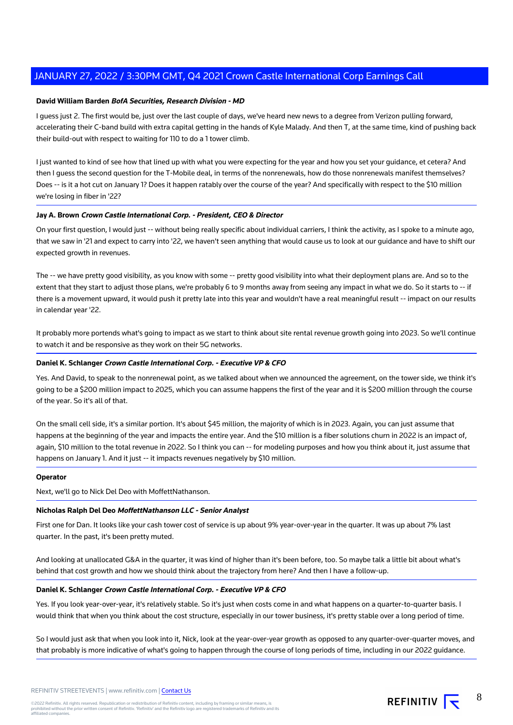#### **David William Barden BofA Securities, Research Division - MD**

I guess just 2. The first would be, just over the last couple of days, we've heard new news to a degree from Verizon pulling forward, accelerating their C-band build with extra capital getting in the hands of Kyle Malady. And then T, at the same time, kind of pushing back their build-out with respect to waiting for 110 to do a 1 tower climb.

I just wanted to kind of see how that lined up with what you were expecting for the year and how you set your guidance, et cetera? And then I guess the second question for the T-Mobile deal, in terms of the nonrenewals, how do those nonrenewals manifest themselves? Does -- is it a hot cut on January 1? Does it happen ratably over the course of the year? And specifically with respect to the \$10 million we're losing in fiber in '22?

#### **Jay A. Brown Crown Castle International Corp. - President, CEO & Director**

On your first question, I would just -- without being really specific about individual carriers, I think the activity, as I spoke to a minute ago, that we saw in '21 and expect to carry into '22, we haven't seen anything that would cause us to look at our guidance and have to shift our expected growth in revenues.

The -- we have pretty good visibility, as you know with some -- pretty good visibility into what their deployment plans are. And so to the extent that they start to adjust those plans, we're probably 6 to 9 months away from seeing any impact in what we do. So it starts to -- if there is a movement upward, it would push it pretty late into this year and wouldn't have a real meaningful result -- impact on our results in calendar year '22.

It probably more portends what's going to impact as we start to think about site rental revenue growth going into 2023. So we'll continue to watch it and be responsive as they work on their 5G networks.

#### **Daniel K. Schlanger Crown Castle International Corp. - Executive VP & CFO**

Yes. And David, to speak to the nonrenewal point, as we talked about when we announced the agreement, on the tower side, we think it's going to be a \$200 million impact to 2025, which you can assume happens the first of the year and it is \$200 million through the course of the year. So it's all of that.

On the small cell side, it's a similar portion. It's about \$45 million, the majority of which is in 2023. Again, you can just assume that happens at the beginning of the year and impacts the entire year. And the \$10 million is a fiber solutions churn in 2022 is an impact of, again, \$10 million to the total revenue in 2022. So I think you can -- for modeling purposes and how you think about it, just assume that happens on January 1. And it just -- it impacts revenues negatively by \$10 million.

#### **Operator**

Next, we'll go to Nick Del Deo with MoffettNathanson.

#### **Nicholas Ralph Del Deo MoffettNathanson LLC - Senior Analyst**

First one for Dan. It looks like your cash tower cost of service is up about 9% year-over-year in the quarter. It was up about 7% last quarter. In the past, it's been pretty muted.

And looking at unallocated G&A in the quarter, it was kind of higher than it's been before, too. So maybe talk a little bit about what's behind that cost growth and how we should think about the trajectory from here? And then I have a follow-up.

#### **Daniel K. Schlanger Crown Castle International Corp. - Executive VP & CFO**

Yes. If you look year-over-year, it's relatively stable. So it's just when costs come in and what happens on a quarter-to-quarter basis. I would think that when you think about the cost structure, especially in our tower business, it's pretty stable over a long period of time.

So I would just ask that when you look into it, Nick, look at the year-over-year growth as opposed to any quarter-over-quarter moves, and that probably is more indicative of what's going to happen through the course of long periods of time, including in our 2022 guidance.

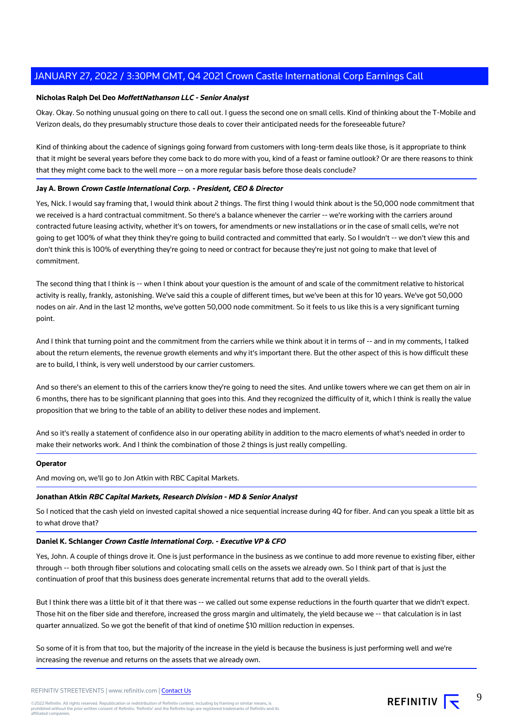#### **Nicholas Ralph Del Deo MoffettNathanson LLC - Senior Analyst**

Okay. Okay. So nothing unusual going on there to call out. I guess the second one on small cells. Kind of thinking about the T-Mobile and Verizon deals, do they presumably structure those deals to cover their anticipated needs for the foreseeable future?

Kind of thinking about the cadence of signings going forward from customers with long-term deals like those, is it appropriate to think that it might be several years before they come back to do more with you, kind of a feast or famine outlook? Or are there reasons to think that they might come back to the well more -- on a more regular basis before those deals conclude?

#### **Jay A. Brown Crown Castle International Corp. - President, CEO & Director**

Yes, Nick. I would say framing that, I would think about 2 things. The first thing I would think about is the 50,000 node commitment that we received is a hard contractual commitment. So there's a balance whenever the carrier -- we're working with the carriers around contracted future leasing activity, whether it's on towers, for amendments or new installations or in the case of small cells, we're not going to get 100% of what they think they're going to build contracted and committed that early. So I wouldn't -- we don't view this and don't think this is 100% of everything they're going to need or contract for because they're just not going to make that level of commitment.

The second thing that I think is -- when I think about your question is the amount of and scale of the commitment relative to historical activity is really, frankly, astonishing. We've said this a couple of different times, but we've been at this for 10 years. We've got 50,000 nodes on air. And in the last 12 months, we've gotten 50,000 node commitment. So it feels to us like this is a very significant turning point.

And I think that turning point and the commitment from the carriers while we think about it in terms of -- and in my comments, I talked about the return elements, the revenue growth elements and why it's important there. But the other aspect of this is how difficult these are to build, I think, is very well understood by our carrier customers.

And so there's an element to this of the carriers know they're going to need the sites. And unlike towers where we can get them on air in 6 months, there has to be significant planning that goes into this. And they recognized the difficulty of it, which I think is really the value proposition that we bring to the table of an ability to deliver these nodes and implement.

And so it's really a statement of confidence also in our operating ability in addition to the macro elements of what's needed in order to make their networks work. And I think the combination of those 2 things is just really compelling.

#### **Operator**

And moving on, we'll go to Jon Atkin with RBC Capital Markets.

#### **Jonathan Atkin RBC Capital Markets, Research Division - MD & Senior Analyst**

So I noticed that the cash yield on invested capital showed a nice sequential increase during 4Q for fiber. And can you speak a little bit as to what drove that?

#### **Daniel K. Schlanger Crown Castle International Corp. - Executive VP & CFO**

Yes, John. A couple of things drove it. One is just performance in the business as we continue to add more revenue to existing fiber, either through -- both through fiber solutions and colocating small cells on the assets we already own. So I think part of that is just the continuation of proof that this business does generate incremental returns that add to the overall yields.

But I think there was a little bit of it that there was -- we called out some expense reductions in the fourth quarter that we didn't expect. Those hit on the fiber side and therefore, increased the gross margin and ultimately, the yield because we -- that calculation is in last quarter annualized. So we got the benefit of that kind of onetime \$10 million reduction in expenses.

So some of it is from that too, but the majority of the increase in the yield is because the business is just performing well and we're increasing the revenue and returns on the assets that we already own.

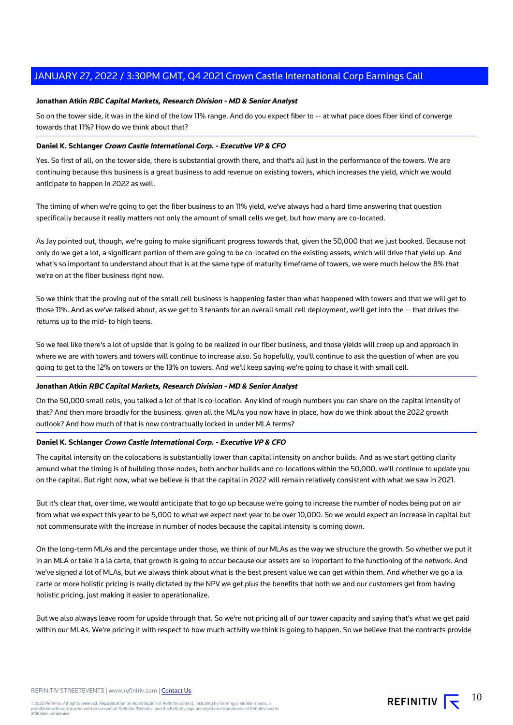#### **Jonathan Atkin RBC Capital Markets, Research Division - MD & Senior Analyst**

So on the tower side, it was in the kind of the low 11% range. And do you expect fiber to -- at what pace does fiber kind of converge towards that 11%? How do we think about that?

#### **Daniel K. Schlanger Crown Castle International Corp. - Executive VP & CFO**

Yes. So first of all, on the tower side, there is substantial growth there, and that's all just in the performance of the towers. We are continuing because this business is a great business to add revenue on existing towers, which increases the yield, which we would anticipate to happen in 2022 as well.

The timing of when we're going to get the fiber business to an 11% yield, we've always had a hard time answering that question specifically because it really matters not only the amount of small cells we get, but how many are co-located.

As Jay pointed out, though, we're going to make significant progress towards that, given the 50,000 that we just booked. Because not only do we get a lot, a significant portion of them are going to be co-located on the existing assets, which will drive that yield up. And what's so important to understand about that is at the same type of maturity timeframe of towers, we were much below the 8% that we're on at the fiber business right now.

So we think that the proving out of the small cell business is happening faster than what happened with towers and that we will get to those 11%. And as we've talked about, as we get to 3 tenants for an overall small cell deployment, we'll get into the -- that drives the returns up to the mid- to high teens.

So we feel like there's a lot of upside that is going to be realized in our fiber business, and those yields will creep up and approach in where we are with towers and towers will continue to increase also. So hopefully, you'll continue to ask the question of when are you going to get to the 12% on towers or the 13% on towers. And we'll keep saying we're going to chase it with small cell.

#### **Jonathan Atkin RBC Capital Markets, Research Division - MD & Senior Analyst**

On the 50,000 small cells, you talked a lot of that is co-location. Any kind of rough numbers you can share on the capital intensity of that? And then more broadly for the business, given all the MLAs you now have in place, how do we think about the 2022 growth outlook? And how much of that is now contractually locked in under MLA terms?

#### **Daniel K. Schlanger Crown Castle International Corp. - Executive VP & CFO**

The capital intensity on the colocations is substantially lower than capital intensity on anchor builds. And as we start getting clarity around what the timing is of building those nodes, both anchor builds and co-locations within the 50,000, we'll continue to update you on the capital. But right now, what we believe is that the capital in 2022 will remain relatively consistent with what we saw in 2021.

But it's clear that, over time, we would anticipate that to go up because we're going to increase the number of nodes being put on air from what we expect this year to be 5,000 to what we expect next year to be over 10,000. So we would expect an increase in capital but not commensurate with the increase in number of nodes because the capital intensity is coming down.

On the long-term MLAs and the percentage under those, we think of our MLAs as the way we structure the growth. So whether we put it in an MLA or take it a la carte, that growth is going to occur because our assets are so important to the functioning of the network. And we've signed a lot of MLAs, but we always think about what is the best present value we can get within them. And whether we go a la carte or more holistic pricing is really dictated by the NPV we get plus the benefits that both we and our customers get from having holistic pricing, just making it easier to operationalize.

But we also always leave room for upside through that. So we're not pricing all of our tower capacity and saying that's what we get paid within our MLAs. We're pricing it with respect to how much activity we think is going to happen. So we believe that the contracts provide

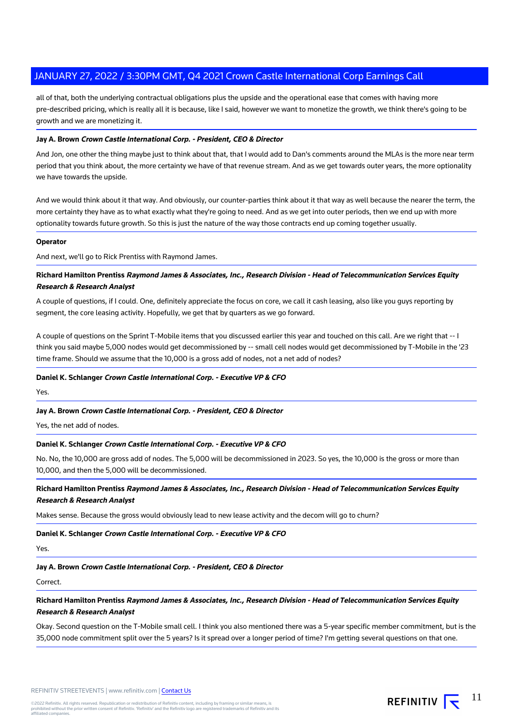all of that, both the underlying contractual obligations plus the upside and the operational ease that comes with having more pre-described pricing, which is really all it is because, like I said, however we want to monetize the growth, we think there's going to be growth and we are monetizing it.

#### **Jay A. Brown Crown Castle International Corp. - President, CEO & Director**

And Jon, one other the thing maybe just to think about that, that I would add to Dan's comments around the MLAs is the more near term period that you think about, the more certainty we have of that revenue stream. And as we get towards outer years, the more optionality we have towards the upside.

And we would think about it that way. And obviously, our counter-parties think about it that way as well because the nearer the term, the more certainty they have as to what exactly what they're going to need. And as we get into outer periods, then we end up with more optionality towards future growth. So this is just the nature of the way those contracts end up coming together usually.

#### **Operator**

And next, we'll go to Rick Prentiss with Raymond James.

#### **Richard Hamilton Prentiss Raymond James & Associates, Inc., Research Division - Head of Telecommunication Services Equity Research & Research Analyst**

A couple of questions, if I could. One, definitely appreciate the focus on core, we call it cash leasing, also like you guys reporting by segment, the core leasing activity. Hopefully, we get that by quarters as we go forward.

A couple of questions on the Sprint T-Mobile items that you discussed earlier this year and touched on this call. Are we right that -- I think you said maybe 5,000 nodes would get decommissioned by -- small cell nodes would get decommissioned by T-Mobile in the '23 time frame. Should we assume that the 10,000 is a gross add of nodes, not a net add of nodes?

#### **Daniel K. Schlanger Crown Castle International Corp. - Executive VP & CFO**

Yes.

#### **Jay A. Brown Crown Castle International Corp. - President, CEO & Director**

Yes, the net add of nodes.

#### **Daniel K. Schlanger Crown Castle International Corp. - Executive VP & CFO**

No. No, the 10,000 are gross add of nodes. The 5,000 will be decommissioned in 2023. So yes, the 10,000 is the gross or more than 10,000, and then the 5,000 will be decommissioned.

#### **Richard Hamilton Prentiss Raymond James & Associates, Inc., Research Division - Head of Telecommunication Services Equity Research & Research Analyst**

Makes sense. Because the gross would obviously lead to new lease activity and the decom will go to churn?

#### **Daniel K. Schlanger Crown Castle International Corp. - Executive VP & CFO**

Yes.

**Jay A. Brown Crown Castle International Corp. - President, CEO & Director**

Correct.

**Richard Hamilton Prentiss Raymond James & Associates, Inc., Research Division - Head of Telecommunication Services Equity Research & Research Analyst**

Okay. Second question on the T-Mobile small cell. I think you also mentioned there was a 5-year specific member commitment, but is the 35,000 node commitment split over the 5 years? Is it spread over a longer period of time? I'm getting several questions on that one.

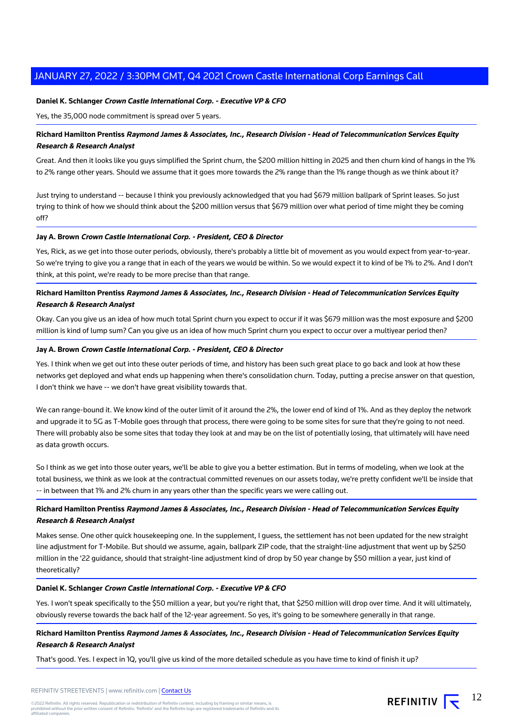#### **Daniel K. Schlanger Crown Castle International Corp. - Executive VP & CFO**

Yes, the 35,000 node commitment is spread over 5 years.

#### **Richard Hamilton Prentiss Raymond James & Associates, Inc., Research Division - Head of Telecommunication Services Equity Research & Research Analyst**

Great. And then it looks like you guys simplified the Sprint churn, the \$200 million hitting in 2025 and then churn kind of hangs in the 1% to 2% range other years. Should we assume that it goes more towards the 2% range than the 1% range though as we think about it?

Just trying to understand -- because I think you previously acknowledged that you had \$679 million ballpark of Sprint leases. So just trying to think of how we should think about the \$200 million versus that \$679 million over what period of time might they be coming off?

#### **Jay A. Brown Crown Castle International Corp. - President, CEO & Director**

Yes, Rick, as we get into those outer periods, obviously, there's probably a little bit of movement as you would expect from year-to-year. So we're trying to give you a range that in each of the years we would be within. So we would expect it to kind of be 1% to 2%. And I don't think, at this point, we're ready to be more precise than that range.

#### **Richard Hamilton Prentiss Raymond James & Associates, Inc., Research Division - Head of Telecommunication Services Equity Research & Research Analyst**

Okay. Can you give us an idea of how much total Sprint churn you expect to occur if it was \$679 million was the most exposure and \$200 million is kind of lump sum? Can you give us an idea of how much Sprint churn you expect to occur over a multiyear period then?

#### **Jay A. Brown Crown Castle International Corp. - President, CEO & Director**

Yes. I think when we get out into these outer periods of time, and history has been such great place to go back and look at how these networks get deployed and what ends up happening when there's consolidation churn. Today, putting a precise answer on that question, I don't think we have -- we don't have great visibility towards that.

We can range-bound it. We know kind of the outer limit of it around the 2%, the lower end of kind of 1%. And as they deploy the network and upgrade it to 5G as T-Mobile goes through that process, there were going to be some sites for sure that they're going to not need. There will probably also be some sites that today they look at and may be on the list of potentially losing, that ultimately will have need as data growth occurs.

So I think as we get into those outer years, we'll be able to give you a better estimation. But in terms of modeling, when we look at the total business, we think as we look at the contractual committed revenues on our assets today, we're pretty confident we'll be inside that -- in between that 1% and 2% churn in any years other than the specific years we were calling out.

#### **Richard Hamilton Prentiss Raymond James & Associates, Inc., Research Division - Head of Telecommunication Services Equity Research & Research Analyst**

Makes sense. One other quick housekeeping one. In the supplement, I guess, the settlement has not been updated for the new straight line adjustment for T-Mobile. But should we assume, again, ballpark ZIP code, that the straight-line adjustment that went up by \$250 million in the '22 guidance, should that straight-line adjustment kind of drop by 50 year change by \$50 million a year, just kind of theoretically?

#### **Daniel K. Schlanger Crown Castle International Corp. - Executive VP & CFO**

Yes. I won't speak specifically to the \$50 million a year, but you're right that, that \$250 million will drop over time. And it will ultimately, obviously reverse towards the back half of the 12-year agreement. So yes, it's going to be somewhere generally in that range.

### **Richard Hamilton Prentiss Raymond James & Associates, Inc., Research Division - Head of Telecommunication Services Equity Research & Research Analyst**

That's good. Yes. I expect in 1Q, you'll give us kind of the more detailed schedule as you have time to kind of finish it up?

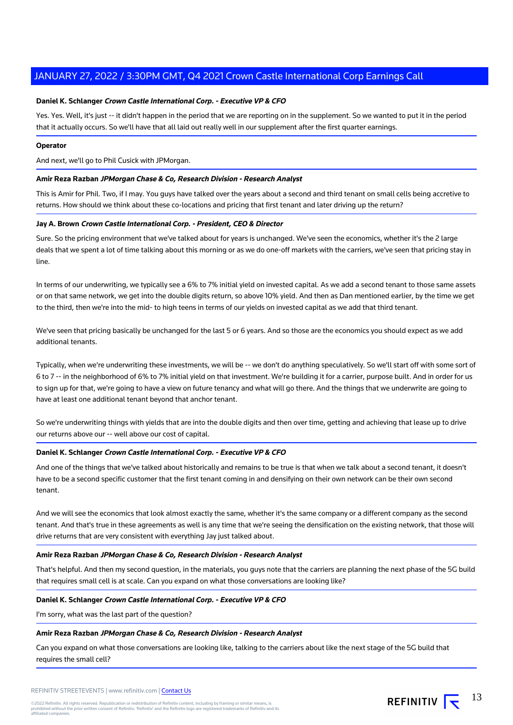#### **Daniel K. Schlanger Crown Castle International Corp. - Executive VP & CFO**

Yes. Yes. Well, it's just -- it didn't happen in the period that we are reporting on in the supplement. So we wanted to put it in the period that it actually occurs. So we'll have that all laid out really well in our supplement after the first quarter earnings.

#### **Operator**

And next, we'll go to Phil Cusick with JPMorgan.

#### **Amir Reza Razban JPMorgan Chase & Co, Research Division - Research Analyst**

This is Amir for Phil. Two, if I may. You guys have talked over the years about a second and third tenant on small cells being accretive to returns. How should we think about these co-locations and pricing that first tenant and later driving up the return?

#### **Jay A. Brown Crown Castle International Corp. - President, CEO & Director**

Sure. So the pricing environment that we've talked about for years is unchanged. We've seen the economics, whether it's the 2 large deals that we spent a lot of time talking about this morning or as we do one-off markets with the carriers, we've seen that pricing stay in line.

In terms of our underwriting, we typically see a 6% to 7% initial yield on invested capital. As we add a second tenant to those same assets or on that same network, we get into the double digits return, so above 10% yield. And then as Dan mentioned earlier, by the time we get to the third, then we're into the mid- to high teens in terms of our yields on invested capital as we add that third tenant.

We've seen that pricing basically be unchanged for the last 5 or 6 years. And so those are the economics you should expect as we add additional tenants.

Typically, when we're underwriting these investments, we will be -- we don't do anything speculatively. So we'll start off with some sort of 6 to 7 -- in the neighborhood of 6% to 7% initial yield on that investment. We're building it for a carrier, purpose built. And in order for us to sign up for that, we're going to have a view on future tenancy and what will go there. And the things that we underwrite are going to have at least one additional tenant beyond that anchor tenant.

So we're underwriting things with yields that are into the double digits and then over time, getting and achieving that lease up to drive our returns above our -- well above our cost of capital.

#### **Daniel K. Schlanger Crown Castle International Corp. - Executive VP & CFO**

And one of the things that we've talked about historically and remains to be true is that when we talk about a second tenant, it doesn't have to be a second specific customer that the first tenant coming in and densifying on their own network can be their own second tenant.

And we will see the economics that look almost exactly the same, whether it's the same company or a different company as the second tenant. And that's true in these agreements as well is any time that we're seeing the densification on the existing network, that those will drive returns that are very consistent with everything Jay just talked about.

#### **Amir Reza Razban JPMorgan Chase & Co, Research Division - Research Analyst**

That's helpful. And then my second question, in the materials, you guys note that the carriers are planning the next phase of the 5G build that requires small cell is at scale. Can you expand on what those conversations are looking like?

#### **Daniel K. Schlanger Crown Castle International Corp. - Executive VP & CFO**

I'm sorry, what was the last part of the question?

#### **Amir Reza Razban JPMorgan Chase & Co, Research Division - Research Analyst**

Can you expand on what those conversations are looking like, talking to the carriers about like the next stage of the 5G build that requires the small cell?

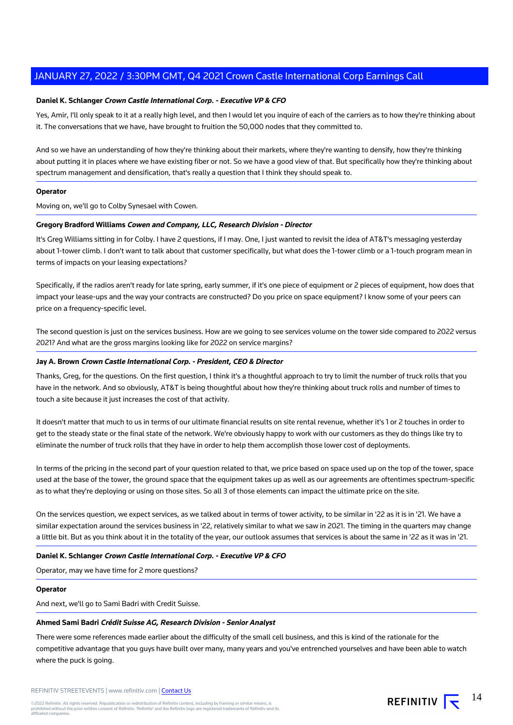#### **Daniel K. Schlanger Crown Castle International Corp. - Executive VP & CFO**

Yes, Amir, I'll only speak to it at a really high level, and then I would let you inquire of each of the carriers as to how they're thinking about it. The conversations that we have, have brought to fruition the 50,000 nodes that they committed to.

And so we have an understanding of how they're thinking about their markets, where they're wanting to densify, how they're thinking about putting it in places where we have existing fiber or not. So we have a good view of that. But specifically how they're thinking about spectrum management and densification, that's really a question that I think they should speak to.

#### **Operator**

Moving on, we'll go to Colby Synesael with Cowen.

#### **Gregory Bradford Williams Cowen and Company, LLC, Research Division - Director**

It's Greg Williams sitting in for Colby. I have 2 questions, if I may. One, I just wanted to revisit the idea of AT&T's messaging yesterday about 1-tower climb. I don't want to talk about that customer specifically, but what does the 1-tower climb or a 1-touch program mean in terms of impacts on your leasing expectations?

Specifically, if the radios aren't ready for late spring, early summer, if it's one piece of equipment or 2 pieces of equipment, how does that impact your lease-ups and the way your contracts are constructed? Do you price on space equipment? I know some of your peers can price on a frequency-specific level.

The second question is just on the services business. How are we going to see services volume on the tower side compared to 2022 versus 2021? And what are the gross margins looking like for 2022 on service margins?

#### **Jay A. Brown Crown Castle International Corp. - President, CEO & Director**

Thanks, Greg, for the questions. On the first question, I think it's a thoughtful approach to try to limit the number of truck rolls that you have in the network. And so obviously, AT&T is being thoughtful about how they're thinking about truck rolls and number of times to touch a site because it just increases the cost of that activity.

It doesn't matter that much to us in terms of our ultimate financial results on site rental revenue, whether it's 1 or 2 touches in order to get to the steady state or the final state of the network. We're obviously happy to work with our customers as they do things like try to eliminate the number of truck rolls that they have in order to help them accomplish those lower cost of deployments.

In terms of the pricing in the second part of your question related to that, we price based on space used up on the top of the tower, space used at the base of the tower, the ground space that the equipment takes up as well as our agreements are oftentimes spectrum-specific as to what they're deploying or using on those sites. So all 3 of those elements can impact the ultimate price on the site.

On the services question, we expect services, as we talked about in terms of tower activity, to be similar in '22 as it is in '21. We have a similar expectation around the services business in '22, relatively similar to what we saw in 2021. The timing in the quarters may change a little bit. But as you think about it in the totality of the year, our outlook assumes that services is about the same in '22 as it was in '21.

#### **Daniel K. Schlanger Crown Castle International Corp. - Executive VP & CFO**

Operator, may we have time for 2 more questions?

#### **Operator**

And next, we'll go to Sami Badri with Credit Suisse.

#### **Ahmed Sami Badri Crédit Suisse AG, Research Division - Senior Analyst**

There were some references made earlier about the difficulty of the small cell business, and this is kind of the rationale for the competitive advantage that you guys have built over many, many years and you've entrenched yourselves and have been able to watch where the puck is going.

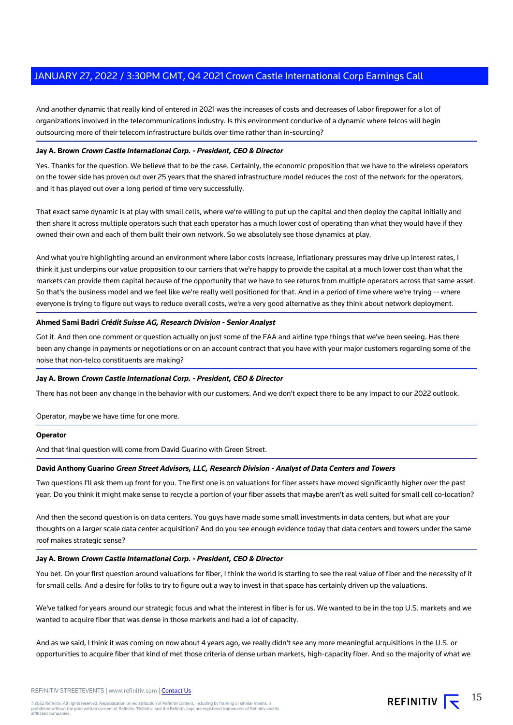And another dynamic that really kind of entered in 2021 was the increases of costs and decreases of labor firepower for a lot of organizations involved in the telecommunications industry. Is this environment conducive of a dynamic where telcos will begin outsourcing more of their telecom infrastructure builds over time rather than in-sourcing?

#### **Jay A. Brown Crown Castle International Corp. - President, CEO & Director**

Yes. Thanks for the question. We believe that to be the case. Certainly, the economic proposition that we have to the wireless operators on the tower side has proven out over 25 years that the shared infrastructure model reduces the cost of the network for the operators, and it has played out over a long period of time very successfully.

That exact same dynamic is at play with small cells, where we're willing to put up the capital and then deploy the capital initially and then share it across multiple operators such that each operator has a much lower cost of operating than what they would have if they owned their own and each of them built their own network. So we absolutely see those dynamics at play.

And what you're highlighting around an environment where labor costs increase, inflationary pressures may drive up interest rates, I think it just underpins our value proposition to our carriers that we're happy to provide the capital at a much lower cost than what the markets can provide them capital because of the opportunity that we have to see returns from multiple operators across that same asset. So that's the business model and we feel like we're really well positioned for that. And in a period of time where we're trying -- where everyone is trying to figure out ways to reduce overall costs, we're a very good alternative as they think about network deployment.

#### **Ahmed Sami Badri Crédit Suisse AG, Research Division - Senior Analyst**

Got it. And then one comment or question actually on just some of the FAA and airline type things that we've been seeing. Has there been any change in payments or negotiations or on an account contract that you have with your major customers regarding some of the noise that non-telco constituents are making?

#### **Jay A. Brown Crown Castle International Corp. - President, CEO & Director**

There has not been any change in the behavior with our customers. And we don't expect there to be any impact to our 2022 outlook.

#### Operator, maybe we have time for one more.

#### **Operator**

And that final question will come from David Guarino with Green Street.

#### **David Anthony Guarino Green Street Advisors, LLC, Research Division - Analyst of Data Centers and Towers**

Two questions I'll ask them up front for you. The first one is on valuations for fiber assets have moved significantly higher over the past year. Do you think it might make sense to recycle a portion of your fiber assets that maybe aren't as well suited for small cell co-location?

And then the second question is on data centers. You guys have made some small investments in data centers, but what are your thoughts on a larger scale data center acquisition? And do you see enough evidence today that data centers and towers under the same roof makes strategic sense?

#### **Jay A. Brown Crown Castle International Corp. - President, CEO & Director**

You bet. On your first question around valuations for fiber, I think the world is starting to see the real value of fiber and the necessity of it for small cells. And a desire for folks to try to figure out a way to invest in that space has certainly driven up the valuations.

We've talked for years around our strategic focus and what the interest in fiber is for us. We wanted to be in the top U.S. markets and we wanted to acquire fiber that was dense in those markets and had a lot of capacity.

And as we said, I think it was coming on now about 4 years ago, we really didn't see any more meaningful acquisitions in the U.S. or opportunities to acquire fiber that kind of met those criteria of dense urban markets, high-capacity fiber. And so the majority of what we

©2022 Refinitiv. All rights reserved. Republication or redistribution of Refinitiv content, including by framing or similar means, is<br>prohibited without the prior written consent of Refinitiv. 'Refinitiv' and the Refinitiv affiliated companies.

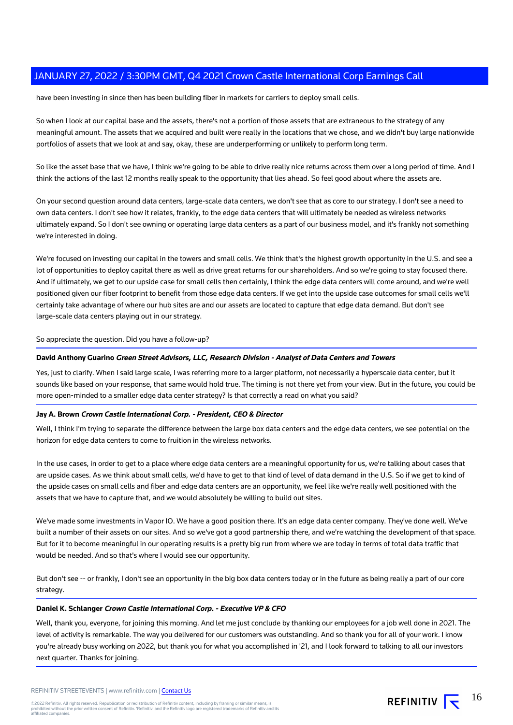have been investing in since then has been building fiber in markets for carriers to deploy small cells.

So when I look at our capital base and the assets, there's not a portion of those assets that are extraneous to the strategy of any meaningful amount. The assets that we acquired and built were really in the locations that we chose, and we didn't buy large nationwide portfolios of assets that we look at and say, okay, these are underperforming or unlikely to perform long term.

So like the asset base that we have, I think we're going to be able to drive really nice returns across them over a long period of time. And I think the actions of the last 12 months really speak to the opportunity that lies ahead. So feel good about where the assets are.

On your second question around data centers, large-scale data centers, we don't see that as core to our strategy. I don't see a need to own data centers. I don't see how it relates, frankly, to the edge data centers that will ultimately be needed as wireless networks ultimately expand. So I don't see owning or operating large data centers as a part of our business model, and it's frankly not something we're interested in doing.

We're focused on investing our capital in the towers and small cells. We think that's the highest growth opportunity in the U.S. and see a lot of opportunities to deploy capital there as well as drive great returns for our shareholders. And so we're going to stay focused there. And if ultimately, we get to our upside case for small cells then certainly, I think the edge data centers will come around, and we're well positioned given our fiber footprint to benefit from those edge data centers. If we get into the upside case outcomes for small cells we'll certainly take advantage of where our hub sites are and our assets are located to capture that edge data demand. But don't see large-scale data centers playing out in our strategy.

So appreciate the question. Did you have a follow-up?

#### **David Anthony Guarino Green Street Advisors, LLC, Research Division - Analyst of Data Centers and Towers**

Yes, just to clarify. When I said large scale, I was referring more to a larger platform, not necessarily a hyperscale data center, but it sounds like based on your response, that same would hold true. The timing is not there yet from your view. But in the future, you could be more open-minded to a smaller edge data center strategy? Is that correctly a read on what you said?

#### **Jay A. Brown Crown Castle International Corp. - President, CEO & Director**

Well, I think I'm trying to separate the difference between the large box data centers and the edge data centers, we see potential on the horizon for edge data centers to come to fruition in the wireless networks.

In the use cases, in order to get to a place where edge data centers are a meaningful opportunity for us, we're talking about cases that are upside cases. As we think about small cells, we'd have to get to that kind of level of data demand in the U.S. So if we get to kind of the upside cases on small cells and fiber and edge data centers are an opportunity, we feel like we're really well positioned with the assets that we have to capture that, and we would absolutely be willing to build out sites.

We've made some investments in Vapor IO. We have a good position there. It's an edge data center company. They've done well. We've built a number of their assets on our sites. And so we've got a good partnership there, and we're watching the development of that space. But for it to become meaningful in our operating results is a pretty big run from where we are today in terms of total data traffic that would be needed. And so that's where I would see our opportunity.

But don't see -- or frankly, I don't see an opportunity in the big box data centers today or in the future as being really a part of our core strategy.

#### **Daniel K. Schlanger Crown Castle International Corp. - Executive VP & CFO**

Well, thank you, everyone, for joining this morning. And let me just conclude by thanking our employees for a job well done in 2021. The level of activity is remarkable. The way you delivered for our customers was outstanding. And so thank you for all of your work. I know you're already busy working on 2022, but thank you for what you accomplished in '21, and I look forward to talking to all our investors next quarter. Thanks for joining.